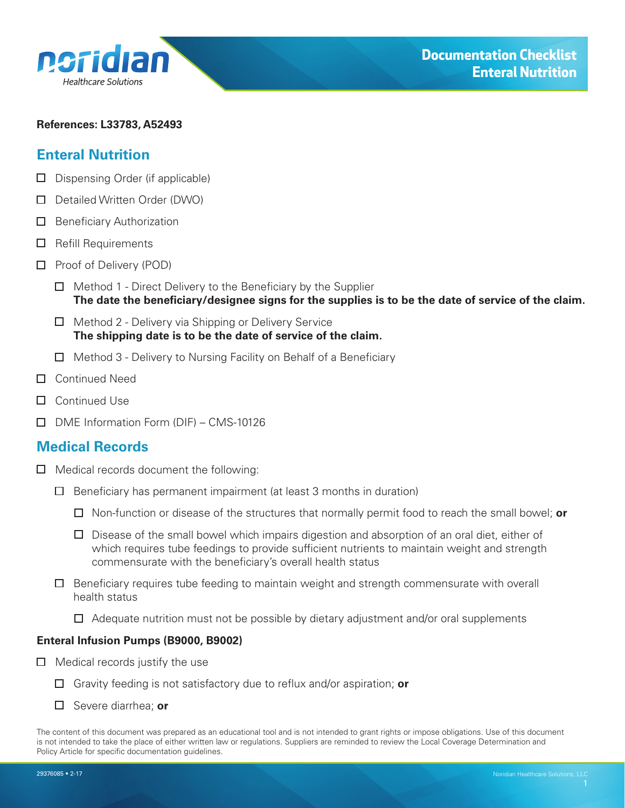<span id="page-0-0"></span>

#### **References: L33783, A52493**

### **Enteral Nutrition**

- $\Box$  Dispensing Order (if applicable)
- Detailed Written Order (DWO)
- $\Box$  Beneficiary Authorization
- $\Box$  Refill Requirements
- $\Box$  Proof of Delivery (POD)
	- $\Box$  Method 1 Direct Delivery to the Beneficiary by the Supplier **The date the beneficiary/designee signs for the supplies is to be the date of service of the claim.**
	- $\Box$  Method 2 Delivery via Shipping or Delivery Service **The shipping date is to be the date of service of the claim.**
	- $\Box$  Method 3 Delivery to Nursing Facility on Behalf of a Beneficiary
- □ Continued Need
- □ Continued Use
- DME Information Form (DIF) CMS-10126

### **Medical Records**

- $\Box$  Medical records document the following:
	- $\Box$  Beneficiary has permanent impairment (at least 3 months in duration)
		- Non-function or disease of the structures that normally permit food to reach the small bowel; **or**
		- $\Box$  Disease of the small bowel which impairs digestion and absorption of an oral diet, either of which requires tube feedings to provide sufficient nutrients to maintain weight and strength commensurate with the beneficiary's overall health status
	- $\Box$  Beneficiary requires tube feeding to maintain weight and strength commensurate with overall health status
		- $\Box$  Adequate nutrition must not be possible by dietary adjustment and/or oral supplements

#### **Enteral Infusion Pumps (B9000, B9002)**

- $\Box$  Medical records justify the use
	- Gravity feeding is not satisfactory due to reflux and/or aspiration; **or**
	- Severe diarrhea; **or**

The content of this document was prepared as an educational tool and is not intended to grant rights or impose obligations. Use of this document is not intended to take the place of either written law or regulations. Suppliers are reminded to review the Local Coverage Determination and Policy Article for specific documentation guidelines.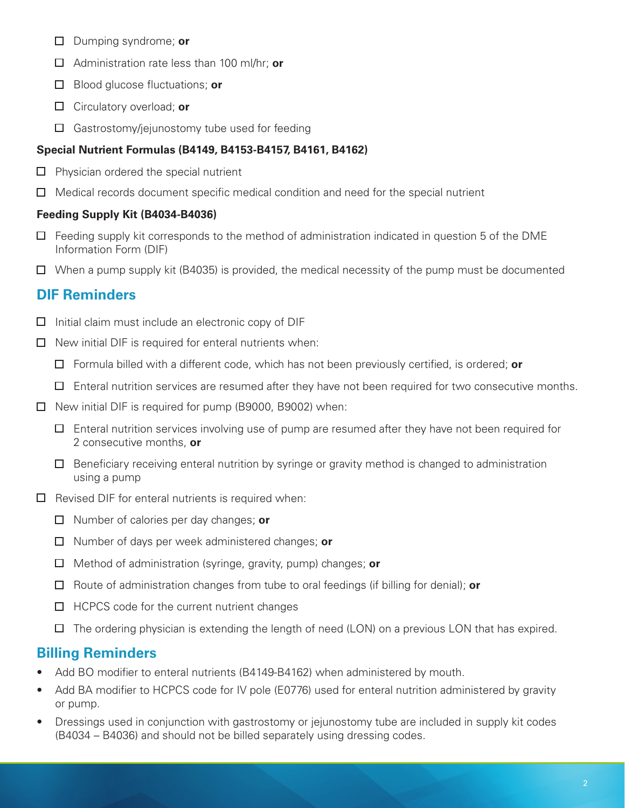- Dumping syndrome; **or**
- Administration rate less than 100 ml/hr; **or**
- Blood glucose fluctuations; **or**
- Circulatory overload; **or**
- Gastrostomy/jejunostomy tube used for feeding

## **Special Nutrient Formulas (B4149, B4153-B4157, B4161, B4162)**

- $\Box$  Physician ordered the special nutrient
- $\Box$  Medical records document specific medical condition and need for the special nutrient

## **Feeding Supply Kit (B4034-B4036)**

- $\Box$ Feeding supply kit corresponds to the method of administration indicated in question 5 of the DME Information Form (DIF)
- $\Box$  When a pump supply kit (B4035) is provided, the medical necessity of the pump must be documented

# **DIF Reminders**

- $\Box$  Initial claim must include an electronic copy of DIF
- $\Box$  New initial DIF is required for enteral nutrients when:
	- Formula billed with a different code, which has not been previously certified, is ordered; **or**
	- $\Box$  Enteral nutrition services are resumed after they have not been required for two consecutive months.
- $\Box$  New initial DIF is required for pump (B9000, B9002) when:
	- $\Box$  Enteral nutrition services involving use of pump are resumed after they have not been required for 2 consecutive months, **or**
	- $\Box$  Beneficiary receiving enteral nutrition by syringe or gravity method is changed to administration using a pump
- $\Box$  Revised DIF for enteral nutrients is required when:
	- Number of calories per day changes; **or**
	- Number of days per week administered changes; **or**
	- Method of administration (syringe, gravity, pump) changes; **or**
	- Route of administration changes from tube to oral feedings (if billing for denial); **or**
	- $\Box$  HCPCS code for the current nutrient changes
	- $\Box$  The ordering physician is extending the length of need (LON) on a previous LON that has expired.

# **Billing Reminders**

- Add BO modifier to enteral nutrients (B4149-B4162) when administered by mouth.
- Add BA modifier to HCPCS code for IV pole (E0776) used for enteral nutrition administered by gravity or pump.
- Dressings used in conjunction with gastrostomy or jejunostomy tube are included in supply kit codes (B4034 – B4036) and should not be billed separately using dressing codes.